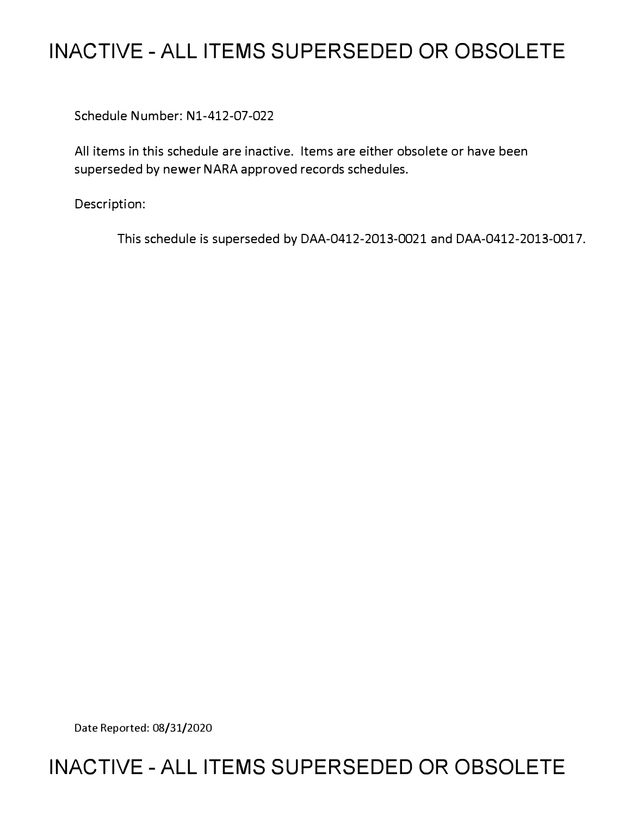## **INACTIVE - ALL ITEMS SUPERSEDED OR OBSOLETE**

Schedule Number: Nl-412-07-022

All items in this schedule are inactive. Items are either obsolete or have been superseded by newer NARA approved records schedules.

Description:

This schedule is superseded by DAA-0412-2013-0021 and DAA-0412-2013-0017.

Date Reported: 08/31/2020

## **INACTIVE - ALL ITEMS SUPERSEDED OR OBSOLETE**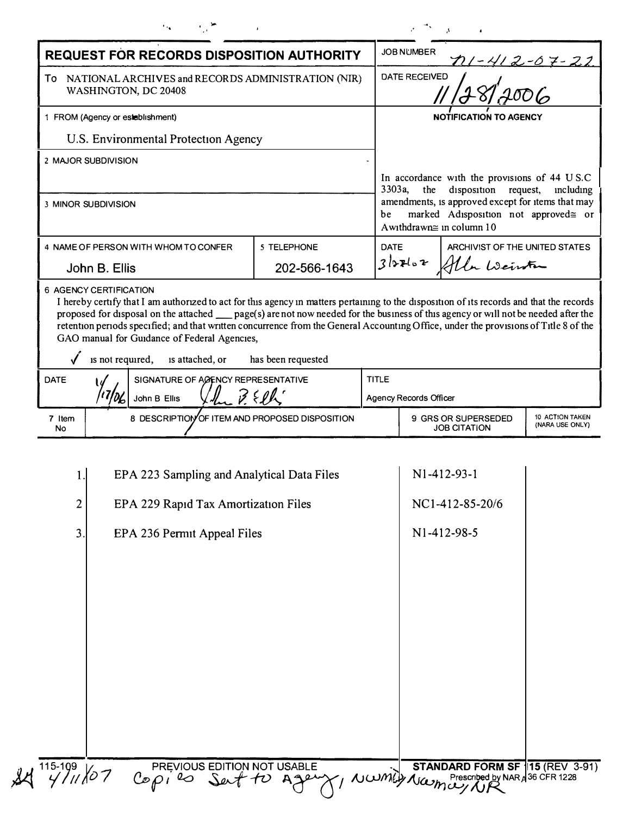| <b>REQUEST FOR RECORDS DISPOSITION AUTHORITY</b>                              |                                                                                                                                                                                                                                                                   |                    |              | <b>JOB NUMBER</b><br><u>111 - 412 - 67 - 22</u>                                                                       |  |  |
|-------------------------------------------------------------------------------|-------------------------------------------------------------------------------------------------------------------------------------------------------------------------------------------------------------------------------------------------------------------|--------------------|--------------|-----------------------------------------------------------------------------------------------------------------------|--|--|
| To NATIONAL ARCHIVES and RECORDS ADMINISTRATION (NIR)<br>WASHINGTON, DC 20408 |                                                                                                                                                                                                                                                                   |                    |              | DATE RECEIVED                                                                                                         |  |  |
| 1 FROM (Agency or establishment)                                              |                                                                                                                                                                                                                                                                   |                    |              | <b>NOTIFICATION TO AGENCY</b>                                                                                         |  |  |
|                                                                               | U.S. Environmental Protection Agency                                                                                                                                                                                                                              |                    |              |                                                                                                                       |  |  |
|                                                                               | 2 MAJOR SUBDIVISION                                                                                                                                                                                                                                               |                    |              |                                                                                                                       |  |  |
|                                                                               |                                                                                                                                                                                                                                                                   |                    |              | In accordance with the provisions of 44 U S.C<br>disposition request,<br>3303a,<br>the<br>including                   |  |  |
| 3 MINOR SUBDIVISION                                                           |                                                                                                                                                                                                                                                                   |                    | be           | amendments, is approved except for items that may<br>marked Adisposition not approved≅ or<br>Awithdrawn≅ in column 10 |  |  |
| 4 NAME OF PERSON WITH WHOM TO CONFER                                          |                                                                                                                                                                                                                                                                   | 5 TELEPHONE        | <b>DATE</b>  | ARCHIVIST OF THE UNITED STATES                                                                                        |  |  |
| John B. Ellis                                                                 |                                                                                                                                                                                                                                                                   | 202-566-1643       |              | $3$ lorlor<br>Ala Weinter                                                                                             |  |  |
| <b>DATE</b>                                                                   | retention periods specified; and that written concurrence from the General Accounting Office, under the provisions of Title 8 of the<br>GAO manual for Guidance of Federal Agencies,<br>is not required,<br>is attached, or<br>SIGNATURE OF AGENCY REPRESENTATIVE | has been requested | <b>TITLE</b> |                                                                                                                       |  |  |
| 3.5<br>John B Ellis                                                           |                                                                                                                                                                                                                                                                   |                    |              | <b>Agency Records Officer</b>                                                                                         |  |  |
| 7 Item<br>No                                                                  | 8 DESCRIPTION OF ITEM AND PROPOSED DISPOSITION                                                                                                                                                                                                                    |                    |              | 10 ACTION TAKEN<br>9 GRS OR SUPERSEDED<br>(NARA USE ONLY)<br><b>JOB CITATION</b>                                      |  |  |
|                                                                               |                                                                                                                                                                                                                                                                   |                    |              |                                                                                                                       |  |  |
| 1.                                                                            | EPA 223 Sampling and Analytical Data Files                                                                                                                                                                                                                        |                    |              | N1-412-93-1                                                                                                           |  |  |
| $\overline{c}$                                                                | EPA 229 Rapid Tax Amortization Files                                                                                                                                                                                                                              |                    |              | NC1-412-85-20/6                                                                                                       |  |  |
|                                                                               | 3.<br>EPA 236 Permit Appeal Files                                                                                                                                                                                                                                 |                    |              | N1-412-98-5                                                                                                           |  |  |
|                                                                               |                                                                                                                                                                                                                                                                   |                    |              |                                                                                                                       |  |  |
|                                                                               |                                                                                                                                                                                                                                                                   |                    |              |                                                                                                                       |  |  |
|                                                                               |                                                                                                                                                                                                                                                                   |                    |              |                                                                                                                       |  |  |
|                                                                               |                                                                                                                                                                                                                                                                   |                    |              |                                                                                                                       |  |  |
|                                                                               |                                                                                                                                                                                                                                                                   |                    |              |                                                                                                                       |  |  |
|                                                                               |                                                                                                                                                                                                                                                                   |                    |              |                                                                                                                       |  |  |
|                                                                               |                                                                                                                                                                                                                                                                   |                    |              |                                                                                                                       |  |  |
|                                                                               |                                                                                                                                                                                                                                                                   |                    |              |                                                                                                                       |  |  |
|                                                                               |                                                                                                                                                                                                                                                                   |                    |              |                                                                                                                       |  |  |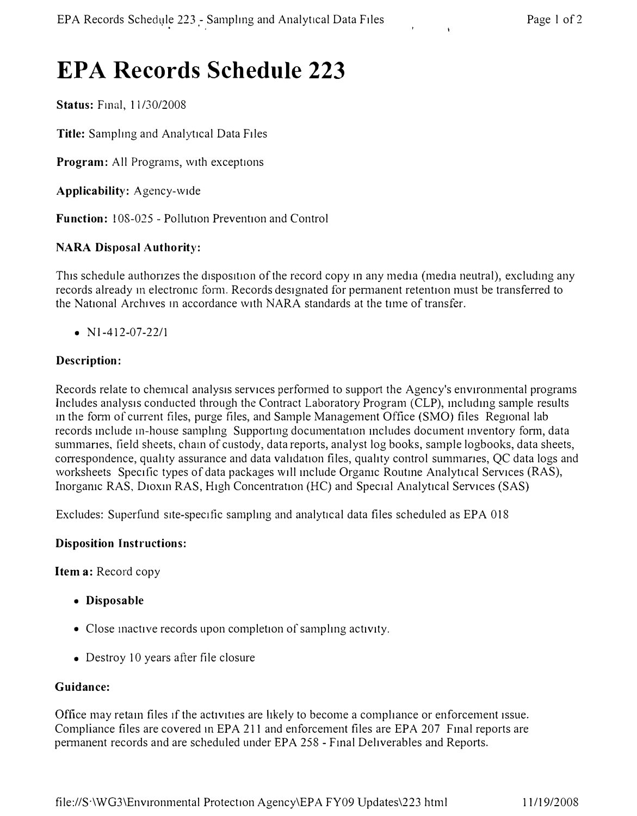# **EPA Records Schedule 223**

**Status: Final, 11/30/2008** 

**Title:** Samplmg and Analytical Data Files

**Program:** All Programs, with exceptions

**Applicability:** Agency-wide

**Function:** l 08-025 - Pollution Prevention and Control

## **NARA Disposal Authority:**

This schedule authorizes the disposition of the record copy in any media (media neutral), excluding any records already in electromic form. Records designated for permanent retention must be transferred to the National Archives 111 accordance with NARA standards at the time of transfer.

•  $N1-412-07-22/1$ 

## **Description:**

Records relate to chemical analysis services performed to support the Agency's environmental programs Includes analysis conducted through the Contract Laboratory Program (CLP), mcludmg sample results in the form of current files, purge files, and Sample Management Office (SMO) files Regional lab records include in-house sampling Supporting documentation includes document inventory form, data summanes, field sheets, cham of custody, data reports, analyst log books, sample logbooks, data sheets, correspondence, quality assurance and data validation files, quality control summanes, QC data logs and worksheets Specific types of data packages will mclude Orgamc Routme Analytical Services (RAS), Inorganic RAS, Dioxin RAS, High Concentration (HC) and Special Analytical Services (SAS)

Excludes: Superfund site-specific sampling and analytical data files scheduled as EPA 018

## **Disposition Instructions:**

**Item a:** Record copy

- **Disposable**
- Close inactive records upon completion of sampling activity.
- Destroy 10 years after file closure

## **Guidance:**

Office may retam files if the activities are likely to become a compliance or enforcement issue. Compliance files are covered in EPA 211 and enforcement files are EPA 207 Final reports are permanent records and are scheduled under EPA 258 - Final Deliverables and Reports.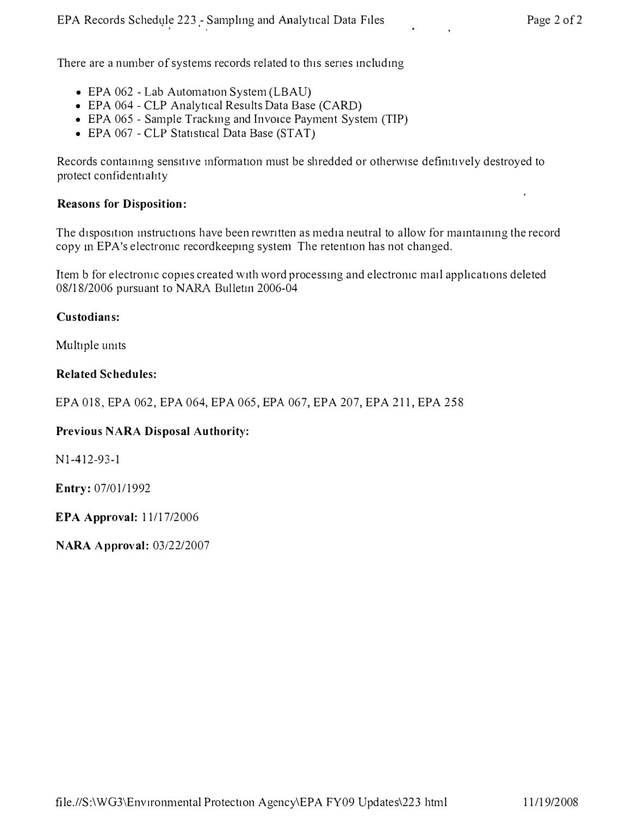There are a number of systems records related to this series including

- **EPA 062 - Lab Automation System (LBAU)**
- **EPA 064 - CLP Analytical Results Data Base (CARD)**
- **EPA 065 - Sample Trackmg and Invoice Payment System (TIP)**
- EPA 067 CLP Statistical Data Base (STAT)

Records containing sensitive information must be shredded or otherwise definitively destroyed to **protect confident1ahty** 

#### **Reasons for Disposition:**

The disposition instructions have been rewritten as media neutral to allow for maintaining the record **copy m EPA's electromc recordkeepmg system The retention has not changed.** 

**Item b for electrornc copies created with word processmg and electromc mail applications deleted 08/18/2006 pursuant to NARA Bulletm 2006-04** 

#### **Custodians:**

**Multiple umts** 

#### **Related Schedules:**

**EPA 018, EPA 062, EPA 064, EPA 065, EPA 067, EPA 207, EPA 211, EPA 258** 

## **Previous NARA Disposal Authority:**

**Nl-412-93-1** 

**Entry: 07/01/1992** 

**EPA Approval: 11/17/2006** 

**NARA Approval: 03/22/2007**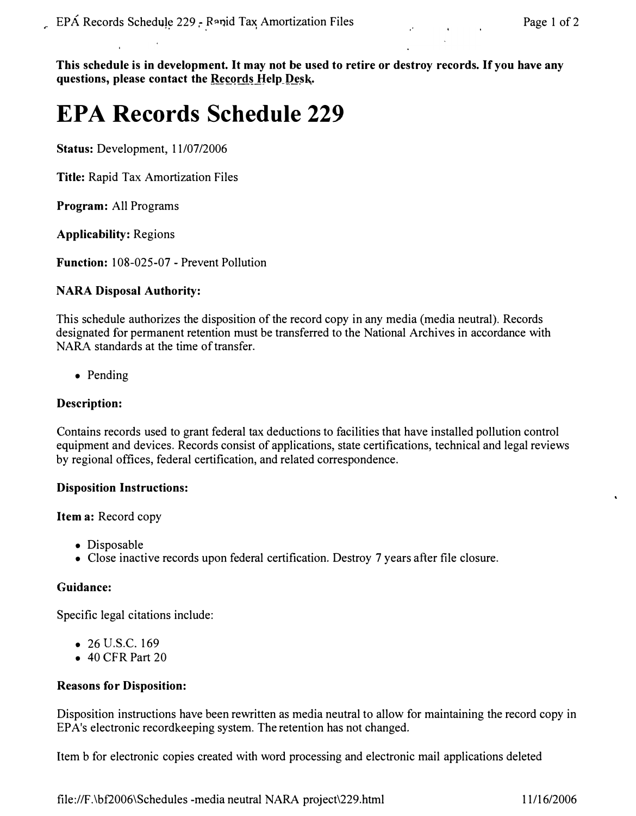**This schedule is in development. It may not be used to retire or destroy records. If you have any questions, please contact the Records Help\_Desk.** 

# **EPA Records Schedule 229**

**Status:** Development, 11/07/2006

**Title:** Rapid Tax Amortization Files

**Program:** All Programs

**Applicability:** Regions

**Function:** 108-025-07 - Prevent Pollution

#### **NARA Disposal Authority:**

This schedule authorizes the disposition of the record copy in any media (media neutral). Records designated for permanent retention must be transferred to the National Archives in accordance with NARA standards at the time of transfer.

• Pending

## **Description:**

Contains records used to grant federal tax deductions to facilities that have installed pollution control equipment and devices. Records consist of applications, state certifications, technical and legal reviews by regional offices, federal certification, and related correspondence.

## **Disposition Instructions:**

**Item a:** Record copy

- Disposable
- Close inactive records upon federal certification. Destroy 7 years after file closure.

#### **Guidance:**

Specific legal citations include:

- 26 U.S.C. 169
- 40 CFR Part 20

#### **Reasons for Disposition:**

Disposition instructions have been rewritten as media neutral to allow for maintaining the record copy in EPA's electronic recordkeeping system. The retention has not changed.

Item b for electronic copies created with word processing and electronic mail applications deleted

<file://F.\bf2006\Schedules> -media neutral NARA project\229.html 11/16/2006

ų,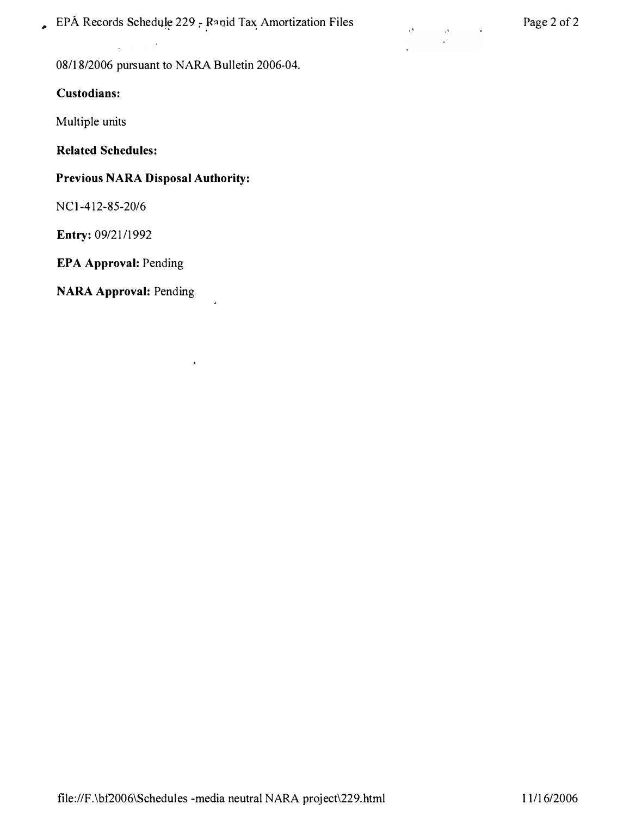**.** EPÁ Records Schedule 229 - Rapid Tax Amortization Files Page 2 of 2

 $\ddot{\phantom{1}}$ 

×

**08/18/2006 pursuant to NARA Bulletin 2006-04.** 

#### **Custodians:**

**Multiple units** 

**Related Schedules:** 

## **Previous NARA Disposal Authority:**

**NCI-412-85-20/6** 

**Entry: 09/21/1992** 

**EPA Approval: Pending** 

**NARA Approval: Pending**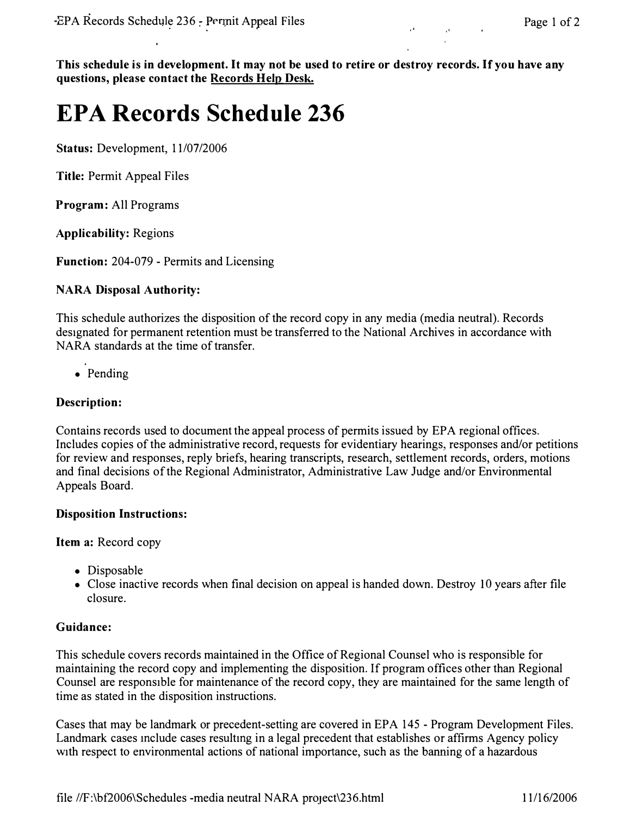**This schedule is in development. It may not be used to retire or destroy records. If you have any**  questions, please contact the Records Help Desk.

# **EPA Records Schedule 236**

**Status: Development, 11/07/2006** 

**Title: Permit Appeal Files** 

**Program: All Programs** 

**Applicability: Regions** 

**Function: 204-079 - Permits and Licensing** 

#### **NARA Disposal Authority:**

**This schedule authorizes the disposition of the record copy in any media (media neutral). Records designated for permanent retention must be transferred to the National Archives in accordance with NARA standards at the time of transfer.** 

**• Pending** 

## **Description:**

**Contains records used to document the appeal process of permits issued by EPA regional offices. Includes copies of the administrative record, requests for evidentiary hearings, responses and/or petitions for review and responses, reply briefs, hearing transcripts, research, settlement records, orders, motions and final decisions of the Regional Administrator, Administrative Law Judge and/or Environmental Appeals Board.** 

#### **Disposition Instructions:**

**Item a: Record copy** 

- **Disposable**
- **Close inactive records when final decision on appeal is handed down. Destroy IO years after file closure.**

## **Guidance:**

**This schedule covers records maintained in the Office of Regional Counsel who is responsible for maintaining the record copy and implementing the disposition. If program offices other than Regional Counsel are responsible for maintenance of the record copy, they are maintained for the same length of time as stated in the disposition instructions.** 

**Cases that may be landmark or precedent-setting are covered in EPA 145 - Program Development Files. Landmark cases mclude cases resultmg in a legal precedent that establishes or affirms Agency policy with respect to environmental actions of national importance, such as the harming of a hazardous**